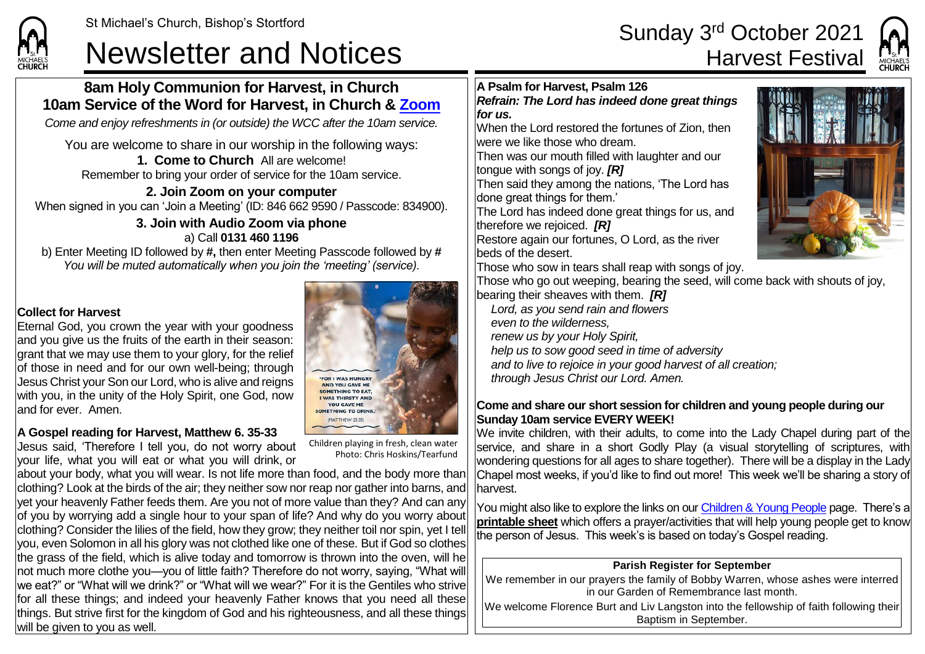# Newsletter and Notices **Harvest Festival**

## **8am Holy Communion for Harvest, in Church 10am Service of the Word for Harvest, in Church & [Zoom](https://zoom.us/)**

*Come and enjoy refreshments in (or outside) the WCC after the 10am service.*

You are welcome to share in our worship in the following ways: **1. Come to Church** All are welcome! Remember to bring your order of service for the 10am service.

**2. Join Zoom on your computer** When signed in you can 'Join a Meeting' (ID: 846 662 9590 / Passcode: 834900).

#### **3. Join with Audio Zoom via phone** a) Call **0131 460 1196**

b) Enter Meeting ID followed by **#,** then enter Meeting Passcode followed by **#** *You will be muted automatically when you join the 'meeting' (service).*

### **Collect for Harvest**

Eternal God, you crown the year with your goodness and you give us the fruits of the earth in their season: grant that we may use them to your glory, for the relief of those in need and for our own well-being; through Jesus Christ your Son our Lord, who is alive and reigns with you, in the unity of the Holy Spirit, one God, now and for ever. Amen.

## **A Gospel reading for Harvest, Matthew 6. 35-33**

Jesus said, 'Therefore I tell you, do not worry about your life, what you will eat or what you will drink, or

about your body, what you will wear. Is not life more than food, and the body more than clothing? Look at the birds of the air; they neither sow nor reap nor gather into barns, and yet your heavenly Father feeds them. Are you not of more value than they? And can any of you by worrying add a single hour to your span of life? And why do you worry about clothing? Consider the lilies of the field, how they grow; they neither toil nor spin, yet I tell you, even Solomon in all his glory was not clothed like one of these. But if God so clothes the grass of the field, which is alive today and tomorrow is thrown into the oven, will he not much more clothe you—you of little faith? Therefore do not worry, saying, "What will we eat?" or "What will we drink?" or "What will we wear?" For it is the Gentiles who strive for all these things; and indeed your heavenly Father knows that you need all these things. But strive first for the kingdom of God and his righteousness, and all these things will be given to you as well.

Children playing in fresh, clean water Photo: Chris Hoskins/Tearfund



**A Psalm for Harvest, Psalm 126** *Refrain: The Lord has indeed done great things for us.*

When the Lord restored the fortunes of Zion, then were we like those who dream.

Then was our mouth filled with laughter and our tongue with songs of joy. *[R]*

Then said they among the nations, 'The Lord has done great things for them.'

The Lord has indeed done great things for us, and therefore we rejoiced. *[R]*

Restore again our fortunes, O Lord, as the river beds of the desert.

Those who sow in tears shall reap with songs of joy.

Those who go out weeping, bearing the seed, will come back with shouts of joy, bearing their sheaves with them. *[R]*

*Lord, as you send rain and flowers even to the wilderness, renew us by your Holy Spirit, help us to sow good seed in time of adversity and to live to rejoice in your good harvest of all creation; through Jesus Christ our Lord. Amen.*

#### **Come and share our short session for children and young people during our Sunday 10am service EVERY WEEK!**

We invite children, with their adults, to come into the Lady Chapel during part of the service, and share in a short Godly Play (a visual storytelling of scriptures, with wondering questions for all ages to share together). There will be a display in the Lady Chapel most weeks, if you'd like to find out more! This week we'll be sharing a story of harvest.

You might also like to explore the links on our [Children & Young People](https://saintmichaelweb.org.uk/Groups/310496/Children_and_Young.aspx) page. There's a **[printable sheet](https://saintmichaelweb.org.uk/Groups/310496/Children_and_Young.aspx)** which offers a prayer/activities that will help young people get to know the person of Jesus. This week's is based on today's Gospel reading.

### **Parish Register for September**

We remember in our prayers the family of Bobby Warren, whose ashes were interred in our Garden of Remembrance last month.

We welcome Florence Burt and Liv Langston into the fellowship of faith following their Baptism in September.



Sunday 3rd October 2021